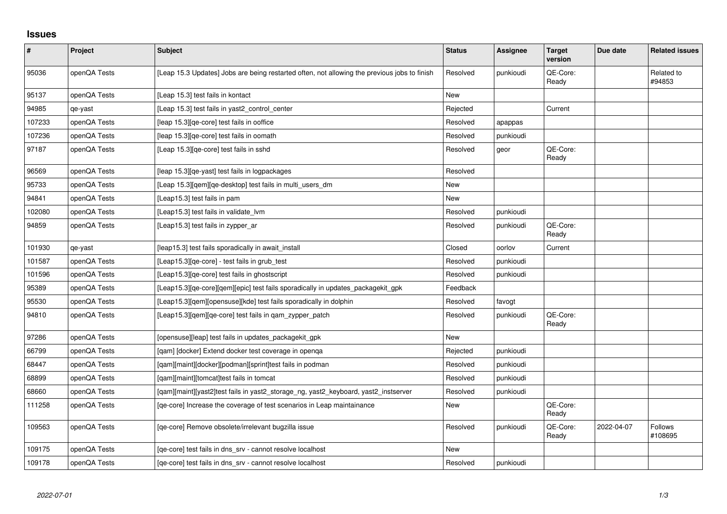## **Issues**

| $\pmb{\#}$ | Project      | Subject                                                                                      | <b>Status</b> | Assignee  | <b>Target</b><br>version | Due date   | <b>Related issues</b>     |
|------------|--------------|----------------------------------------------------------------------------------------------|---------------|-----------|--------------------------|------------|---------------------------|
| 95036      | openQA Tests | [Leap 15.3 Updates] Jobs are being restarted often, not allowing the previous jobs to finish | Resolved      | punkioudi | QE-Core:<br>Ready        |            | Related to<br>#94853      |
| 95137      | openQA Tests | [Leap 15.3] test fails in kontact                                                            | <b>New</b>    |           |                          |            |                           |
| 94985      | qe-yast      | [Leap 15.3] test fails in yast2 control center                                               | Rejected      |           | Current                  |            |                           |
| 107233     | openQA Tests | [leap 15.3] [qe-core] test fails in ooffice                                                  | Resolved      | apappas   |                          |            |                           |
| 107236     | openQA Tests | [leap 15.3] [qe-core] test fails in oomath                                                   | Resolved      | punkioudi |                          |            |                           |
| 97187      | openQA Tests | [Leap 15.3][qe-core] test fails in sshd                                                      | Resolved      | geor      | QE-Core:<br>Ready        |            |                           |
| 96569      | openQA Tests | [leap 15.3] [qe-yast] test fails in logpackages                                              | Resolved      |           |                          |            |                           |
| 95733      | openQA Tests | [Leap 15.3][qem][qe-desktop] test fails in multi_users_dm                                    | <b>New</b>    |           |                          |            |                           |
| 94841      | openQA Tests | [Leap15.3] test fails in pam                                                                 | <b>New</b>    |           |                          |            |                           |
| 102080     | openQA Tests | [Leap15.3] test fails in validate lym                                                        | Resolved      | punkioudi |                          |            |                           |
| 94859      | openQA Tests | [Leap15.3] test fails in zypper_ar                                                           | Resolved      | punkioudi | QE-Core:<br>Ready        |            |                           |
| 101930     | qe-yast      | [leap15.3] test fails sporadically in await_install                                          | Closed        | oorlov    | Current                  |            |                           |
| 101587     | openQA Tests | [Leap15.3][qe-core] - test fails in grub_test                                                | Resolved      | punkioudi |                          |            |                           |
| 101596     | openQA Tests | [Leap15.3][qe-core] test fails in ghostscript                                                | Resolved      | punkioudi |                          |            |                           |
| 95389      | openQA Tests | [Leap15.3][qe-core][qem][epic] test fails sporadically in updates_packagekit_gpk             | Feedback      |           |                          |            |                           |
| 95530      | openQA Tests | [Leap15.3][qem][opensuse][kde] test fails sporadically in dolphin                            | Resolved      | favogt    |                          |            |                           |
| 94810      | openQA Tests | [Leap15.3][qem][qe-core] test fails in qam_zypper_patch                                      | Resolved      | punkioudi | QE-Core:<br>Ready        |            |                           |
| 97286      | openQA Tests | [opensuse][leap] test fails in updates_packagekit_gpk                                        | New           |           |                          |            |                           |
| 66799      | openQA Tests | [qam] [docker] Extend docker test coverage in openqa                                         | Rejected      | punkioudi |                          |            |                           |
| 68447      | openQA Tests | [qam][maint][docker][podman][sprint]test fails in podman                                     | Resolved      | punkioudi |                          |            |                           |
| 68899      | openQA Tests | [gam][maint][tomcat]test fails in tomcat                                                     | Resolved      | punkioudi |                          |            |                           |
| 68660      | openQA Tests | [qam][maint][yast2]test fails in yast2_storage_ng, yast2_keyboard, yast2_instserver          | Resolved      | punkioudi |                          |            |                           |
| 111258     | openQA Tests | [ge-core] Increase the coverage of test scenarios in Leap maintainance                       | New           |           | QE-Core:<br>Ready        |            |                           |
| 109563     | openQA Tests | [qe-core] Remove obsolete/irrelevant bugzilla issue                                          | Resolved      | punkioudi | QE-Core:<br>Ready        | 2022-04-07 | <b>Follows</b><br>#108695 |
| 109175     | openQA Tests | [qe-core] test fails in dns_srv - cannot resolve localhost                                   | New           |           |                          |            |                           |
| 109178     | openQA Tests | [ge-core] test fails in dns srv - cannot resolve localhost                                   | Resolved      | punkioudi |                          |            |                           |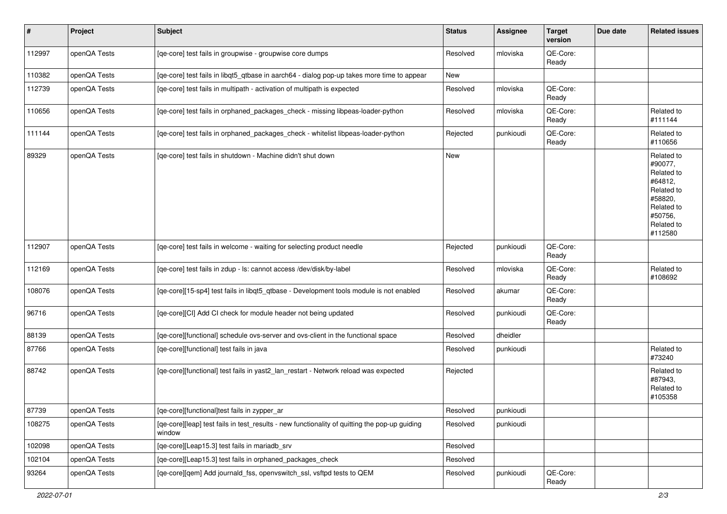| #      | Project      | Subject                                                                                                 | <b>Status</b> | <b>Assignee</b> | <b>Target</b><br>version | Due date | <b>Related issues</b>                                                                                                     |
|--------|--------------|---------------------------------------------------------------------------------------------------------|---------------|-----------------|--------------------------|----------|---------------------------------------------------------------------------------------------------------------------------|
| 112997 | openQA Tests | [qe-core] test fails in groupwise - groupwise core dumps                                                | Resolved      | mloviska        | QE-Core:<br>Ready        |          |                                                                                                                           |
| 110382 | openQA Tests | [qe-core] test fails in libqt5_qtbase in aarch64 - dialog pop-up takes more time to appear              | New           |                 |                          |          |                                                                                                                           |
| 112739 | openQA Tests | [qe-core] test fails in multipath - activation of multipath is expected                                 | Resolved      | mloviska        | QE-Core:<br>Ready        |          |                                                                                                                           |
| 110656 | openQA Tests | [qe-core] test fails in orphaned_packages_check - missing libpeas-loader-python                         | Resolved      | mloviska        | QE-Core:<br>Ready        |          | Related to<br>#111144                                                                                                     |
| 111144 | openQA Tests | [qe-core] test fails in orphaned_packages_check - whitelist libpeas-loader-python                       | Rejected      | punkioudi       | QE-Core:<br>Ready        |          | Related to<br>#110656                                                                                                     |
| 89329  | openQA Tests | [qe-core] test fails in shutdown - Machine didn't shut down                                             | New           |                 |                          |          | Related to<br>#90077,<br>Related to<br>#64812,<br>Related to<br>#58820,<br>Related to<br>#50756,<br>Related to<br>#112580 |
| 112907 | openQA Tests | [qe-core] test fails in welcome - waiting for selecting product needle                                  | Rejected      | punkioudi       | QE-Core:<br>Ready        |          |                                                                                                                           |
| 112169 | openQA Tests | [qe-core] test fails in zdup - ls: cannot access /dev/disk/by-label                                     | Resolved      | mloviska        | QE-Core:<br>Ready        |          | Related to<br>#108692                                                                                                     |
| 108076 | openQA Tests | [qe-core][15-sp4] test fails in libqt5_qtbase - Development tools module is not enabled                 | Resolved      | akumar          | QE-Core:<br>Ready        |          |                                                                                                                           |
| 96716  | openQA Tests | [qe-core][CI] Add CI check for module header not being updated                                          | Resolved      | punkioudi       | QE-Core:<br>Ready        |          |                                                                                                                           |
| 88139  | openQA Tests | [qe-core][functional] schedule ovs-server and ovs-client in the functional space                        | Resolved      | dheidler        |                          |          |                                                                                                                           |
| 87766  | openQA Tests | [qe-core][functional] test fails in java                                                                | Resolved      | punkioudi       |                          |          | Related to<br>#73240                                                                                                      |
| 88742  | openQA Tests | [qe-core][functional] test fails in yast2_lan_restart - Network reload was expected                     | Rejected      |                 |                          |          | Related to<br>#87943,<br>Related to<br>#105358                                                                            |
| 87739  | openQA Tests | [qe-core][functional]test fails in zypper_ar                                                            | Resolved      | punkioudi       |                          |          |                                                                                                                           |
| 108275 | openQA Tests | [qe-core][leap] test fails in test_results - new functionality of quitting the pop-up guiding<br>window | Resolved      | punkioudi       |                          |          |                                                                                                                           |
| 102098 | openQA Tests | [qe-core][Leap15.3] test fails in mariadb_srv                                                           | Resolved      |                 |                          |          |                                                                                                                           |
| 102104 | openQA Tests | [qe-core][Leap15.3] test fails in orphaned_packages_check                                               | Resolved      |                 |                          |          |                                                                                                                           |
| 93264  | openQA Tests | [qe-core][qem] Add journald_fss, openvswitch_ssl, vsftpd tests to QEM                                   | Resolved      | punkioudi       | QE-Core:<br>Ready        |          |                                                                                                                           |